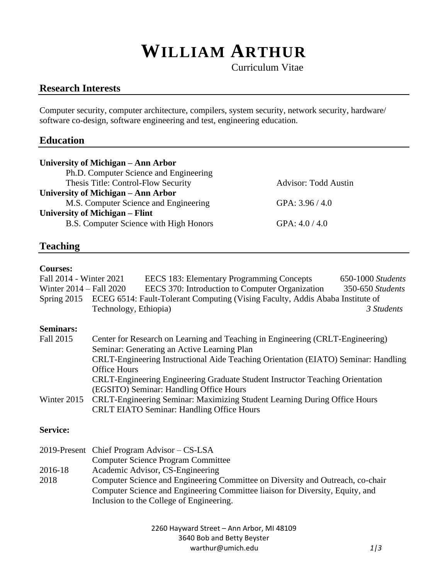# **WILLIAM ARTHUR**

Curriculum Vitae

# **Research Interests**

Computer security, computer architecture, compilers, system security, network security, hardware/ software co-design, software engineering and test, engineering education.

# **Education**

| University of Michigan – Ann Arbor     |                             |  |  |
|----------------------------------------|-----------------------------|--|--|
| Ph.D. Computer Science and Engineering |                             |  |  |
| Thesis Title: Control-Flow Security    | <b>Advisor: Todd Austin</b> |  |  |
| University of Michigan – Ann Arbor     |                             |  |  |
| M.S. Computer Science and Engineering  | GPA: $3.96 / 4.0$           |  |  |
| University of Michigan – Flint         |                             |  |  |
| B.S. Computer Science with High Honors | GPA: $4.0 / 4.0$            |  |  |

# **Teaching**

#### **Courses:**

| Fall 2014 - Winter 2021     | EECS 183: Elementary Programming Concepts                                                 | 650-1000 Students |
|-----------------------------|-------------------------------------------------------------------------------------------|-------------------|
| Winter $2014 -$ Fall $2020$ | EECS 370: Introduction to Computer Organization                                           | 350-650 Students  |
|                             | Spring 2015 ECEG 6514: Fault-Tolerant Computing (Vising Faculty, Addis Ababa Institute of |                   |
|                             | Technology, Ethiopia)                                                                     | 3 Students        |
| <b>Seminars:</b>            |                                                                                           |                   |
| Fall 2015                   | Center for Research on Learning and Teaching in Engineering (CRLT-Engineering)            |                   |
|                             | Seminar: Generating an Active Learning Plan                                               |                   |
|                             | CRLT-Engineering Instructional Aide Teaching Orientation (EIATO) Seminar: Handling        |                   |
|                             | <b>Office Hours</b>                                                                       |                   |
|                             | CRLT-Engineering Engineering Graduate Student Instructor Teaching Orientation             |                   |
|                             | (EGSITO) Seminar: Handling Office Hours                                                   |                   |
| Winter 2015                 | CRLT-Engineering Seminar: Maximizing Student Learning During Office Hours                 |                   |
|                             | <b>CRLT EIATO Seminar: Handling Office Hours</b>                                          |                   |
| <b>Service:</b>             |                                                                                           |                   |
|                             | 2019-Present Chief Program Advisor – CS-LSA                                               |                   |
|                             | <b>Computer Science Program Committee</b>                                                 |                   |
| 2016-18                     | Academic Advisor, CS-Engineering                                                          |                   |

2018 Computer Science and Engineering Committee on Diversity and Outreach, co-chair Computer Science and Engineering Committee liaison for Diversity, Equity, and Inclusion to the College of Engineering.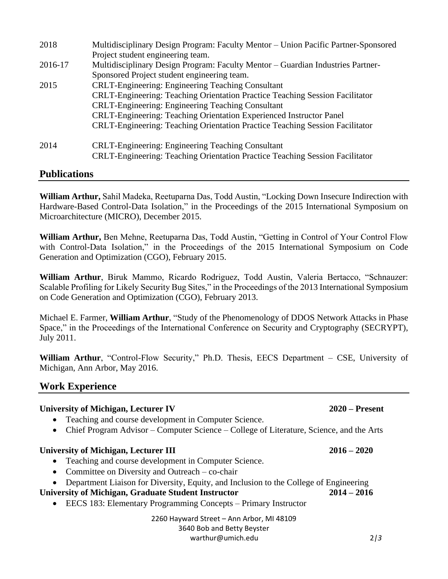| 2018    | Multidisciplinary Design Program: Faculty Mentor - Union Pacific Partner-Sponsored                                                              |
|---------|-------------------------------------------------------------------------------------------------------------------------------------------------|
|         | Project student engineering team.                                                                                                               |
| 2016-17 | Multidisciplinary Design Program: Faculty Mentor - Guardian Industries Partner-                                                                 |
|         | Sponsored Project student engineering team.                                                                                                     |
| 2015    | <b>CRLT-Engineering: Engineering Teaching Consultant</b>                                                                                        |
|         | <b>CRLT-Engineering: Teaching Orientation Practice Teaching Session Facilitator</b>                                                             |
|         | <b>CRLT-Engineering: Engineering Teaching Consultant</b>                                                                                        |
|         | CRLT-Engineering: Teaching Orientation Experienced Instructor Panel                                                                             |
|         | <b>CRLT-Engineering: Teaching Orientation Practice Teaching Session Facilitator</b>                                                             |
| 2014    | <b>CRLT-Engineering: Engineering Teaching Consultant</b><br><b>CRLT-Engineering: Teaching Orientation Practice Teaching Session Facilitator</b> |

# **Publications**

**William Arthur,** Sahil Madeka, Reetuparna Das, Todd Austin, "Locking Down Insecure Indirection with Hardware-Based Control-Data Isolation," in the Proceedings of the 2015 International Symposium on Microarchitecture (MICRO), December 2015.

**William Arthur,** Ben Mehne, Reetuparna Das, Todd Austin, "Getting in Control of Your Control Flow with Control-Data Isolation," in the Proceedings of the 2015 International Symposium on Code Generation and Optimization (CGO), February 2015.

**William Arthur**, Biruk Mammo, Ricardo Rodriguez, Todd Austin, Valeria Bertacco, "Schnauzer: Scalable Profiling for Likely Security Bug Sites," in the Proceedings of the 2013 International Symposium on Code Generation and Optimization (CGO), February 2013.

Michael E. Farmer, **William Arthur**, "Study of the Phenomenology of DDOS Network Attacks in Phase Space," in the Proceedings of the International Conference on Security and Cryptography (SECRYPT), July 2011.

**William Arthur**, "Control-Flow Security," Ph.D. Thesis, EECS Department – CSE, University of Michigan, Ann Arbor, May 2016.

# **Work Experience**

# **University of Michigan, Lecturer IV 2020 – Present**  • Teaching and course development in Computer Science. • Chief Program Advisor – Computer Science – College of Literature, Science, and the Arts **University of Michigan, Lecturer III 2016 – 2020** • Teaching and course development in Computer Science. • Committee on Diversity and Outreach – co-chair • Department Liaison for Diversity, Equity, and Inclusion to the College of Engineering **University of Michigan, Graduate Student Instructor 2014 – 2016** • EECS 183: Elementary Programming Concepts – Primary Instructor

2260 Hayward Street – Ann Arbor, MI 48109 3640 Bob and Betty Beyster warthur@umich.edu 2*|3*